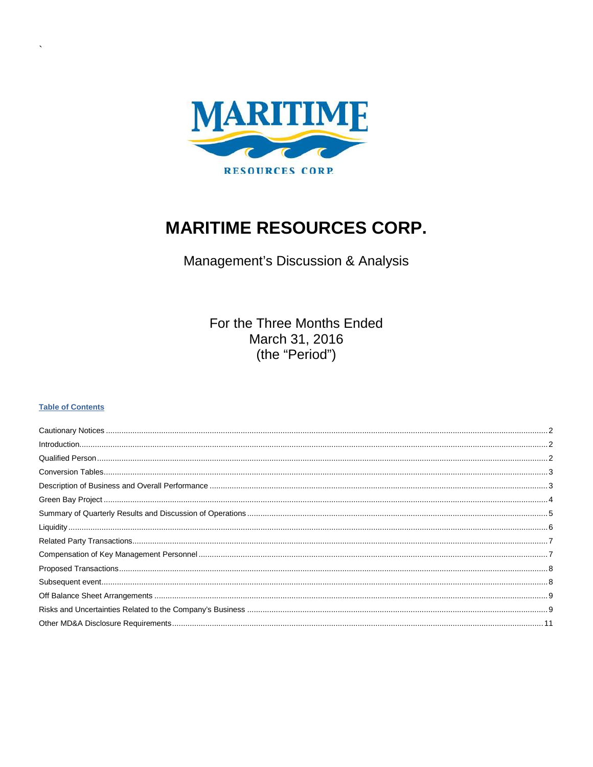

# **MARITIME RESOURCES CORP.**

Management's Discussion & Analysis

For the Three Months Ended March 31, 2016 (the "Period")

#### **Table of Contents**

<span id="page-0-0"></span>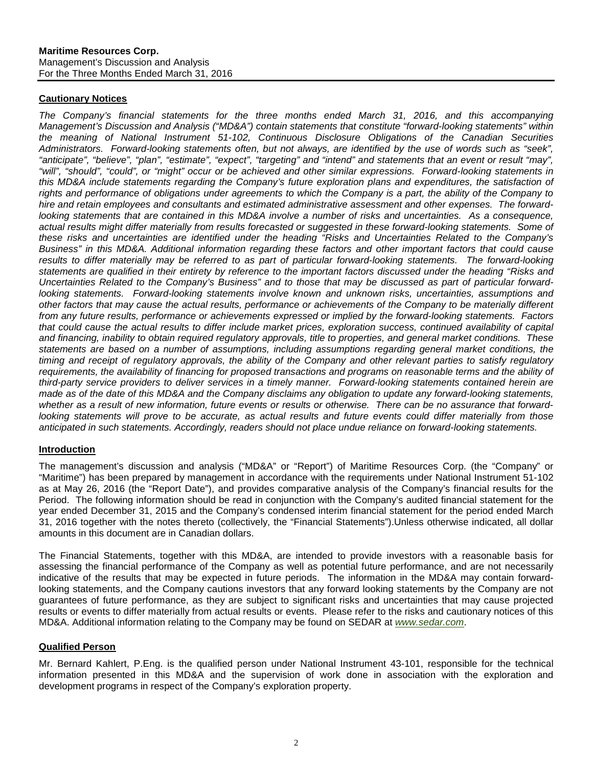## **Cautionary Notices**

*The Company's financial statements for the three months ended March 31, 2016, and this accompanying Management's Discussion and Analysis ("MD&A") contain statements that constitute "forward-looking statements" within the meaning of National Instrument 51-102, Continuous Disclosure Obligations of the Canadian Securities Administrators. Forward-looking statements often, but not always, are identified by the use of words such as "seek", "anticipate", "believe", "plan", "estimate", "expect", "targeting" and "intend" and statements that an event or result "may", "will", "should", "could", or "might" occur or be achieved and other similar expressions. Forward-looking statements in*  this MD&A include statements regarding the Company's future exploration plans and expenditures, the satisfaction of *rights and performance of obligations under agreements to which the Company is a part, the ability of the Company to hire and retain employees and consultants and estimated administrative assessment and other expenses. The forward*looking statements that are contained in this MD&A involve a number of risks and uncertainties. As a consequence, *actual results might differ materially from results forecasted or suggested in these forward-looking statements. Some of these risks and uncertainties are identified under the heading "Risks and Uncertainties Related to the Company's Business" in this MD&A. Additional information regarding these factors and other important factors that could cause*  results to differ materially may be referred to as part of particular forward-looking statements. The forward-looking *statements are qualified in their entirety by reference to the important factors discussed under the heading "Risks and Uncertainties Related to the Company's Business" and to those that may be discussed as part of particular forwardlooking statements. Forward-looking statements involve known and unknown risks, uncertainties, assumptions and other factors that may cause the actual results, performance or achievements of the Company to be materially different from any future results, performance or achievements expressed or implied by the forward-looking statements. Factors that could cause the actual results to differ include market prices, exploration success, continued availability of capital and financing, inability to obtain required regulatory approvals, title to properties, and general market conditions. These statements are based on a number of assumptions, including assumptions regarding general market conditions, the timing and receipt of regulatory approvals, the ability of the Company and other relevant parties to satisfy regulatory*  requirements, the availability of financing for proposed transactions and programs on reasonable terms and the ability of *third-party service providers to deliver services in a timely manner. Forward-looking statements contained herein are*  made as of the date of this MD&A and the Company disclaims any obligation to update any forward-looking statements, *whether as a result of new information, future events or results or otherwise. There can be no assurance that forwardlooking statements will prove to be accurate, as actual results and future events could differ materially from those anticipated in such statements. Accordingly, readers should not place undue reliance on forward-looking statements.*

## <span id="page-1-0"></span>**Introduction**

The management's discussion and analysis ("MD&A" or "Report") of Maritime Resources Corp. (the "Company" or "Maritime") has been prepared by management in accordance with the requirements under National Instrument 51-102 as at May 26, 2016 (the "Report Date"), and provides comparative analysis of the Company's financial results for the Period. The following information should be read in conjunction with the Company's audited financial statement for the year ended December 31, 2015 and the Company's condensed interim financial statement for the period ended March 31, 2016 together with the notes thereto (collectively, the "Financial Statements").Unless otherwise indicated, all dollar amounts in this document are in Canadian dollars.

The Financial Statements, together with this MD&A, are intended to provide investors with a reasonable basis for assessing the financial performance of the Company as well as potential future performance, and are not necessarily indicative of the results that may be expected in future periods. The information in the MD&A may contain forwardlooking statements, and the Company cautions investors that any forward looking statements by the Company are not guarantees of future performance, as they are subject to significant risks and uncertainties that may cause projected results or events to differ materially from actual results or events. Please refer to the risks and cautionary notices of this MD&A. Additional information relating to the Company may be found on SEDAR at *[www.sedar.com](http://www.sedar.com/)*.

## <span id="page-1-1"></span>**Qualified Person**

Mr. Bernard Kahlert, P.Eng. is the qualified person under National Instrument 43-101, responsible for the technical information presented in this MD&A and the supervision of work done in association with the exploration and development programs in respect of the Company's exploration property.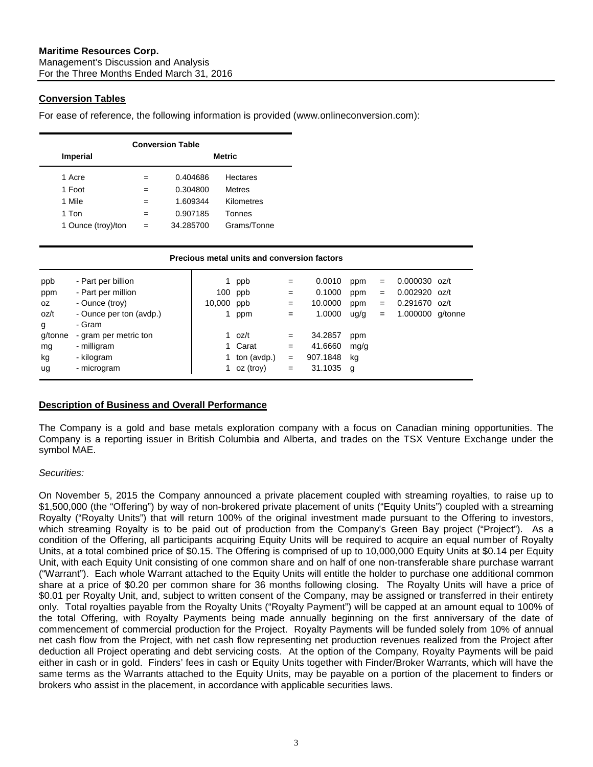## <span id="page-2-0"></span>**Conversion Tables**

For ease of reference, the following information is provided (www.onlineconversion.com):

| <b>Conversion Table</b> |               |           |               |  |  |  |  |  |
|-------------------------|---------------|-----------|---------------|--|--|--|--|--|
| <b>Imperial</b>         | <b>Metric</b> |           |               |  |  |  |  |  |
| 1 Acre                  | $=$           | 0.404686  | Hectares      |  |  |  |  |  |
| 1 Foot                  | $=$           | 0.304800  | <b>Metres</b> |  |  |  |  |  |
| 1 Mile                  | $=$           | 1.609344  | Kilometres    |  |  |  |  |  |
| 1 Ton                   | =             | 0.907185  | Tonnes        |  |  |  |  |  |
| 1 Ounce (troy)/ton      | $=$           | 34.285700 | Grams/Tonne   |  |  |  |  |  |

|         | Precious metal units and conversion factors |        |             |     |          |      |     |                  |  |  |
|---------|---------------------------------------------|--------|-------------|-----|----------|------|-----|------------------|--|--|
| ppb     | - Part per billion                          |        | ppb         | $=$ | 0.0010   | ppm  | $=$ | $0.000030$ oz/t  |  |  |
| ppm     | - Part per million                          |        | 100 ppb     | $=$ | 0.1000   | ppm  | $=$ | $0.002920$ oz/t  |  |  |
| OZ.     | - Ounce (troy)                              | 10,000 | ppb         | $=$ | 10.0000  | ppm  | $=$ | $0.291670$ oz/t  |  |  |
| oz/t    | - Ounce per ton (avdp.)                     |        | ppm         | $=$ | 1.0000   | uq/q | $=$ | 1.000000 g/tonne |  |  |
| g       | - Gram                                      |        |             |     |          |      |     |                  |  |  |
| g/tonne | - gram per metric ton                       |        | 1 oz/t      | $=$ | 34.2857  | ppm  |     |                  |  |  |
| mg      | - milligram                                 |        | 1 Carat     | $=$ | 41.6660  | mg/g |     |                  |  |  |
| kg      | - kilogram                                  |        | ton (avdp.) | $=$ | 907.1848 | kg   |     |                  |  |  |
| ug      | - microgram                                 |        | oz (troy)   | $=$ | 31.1035  | a    |     |                  |  |  |

## <span id="page-2-1"></span>**Description of Business and Overall Performance**

The Company is a gold and base metals exploration company with a focus on Canadian mining opportunities. The Company is a reporting issuer in British Columbia and Alberta, and trades on the TSX Venture Exchange under the symbol MAE.

#### *Securities:*

On November 5, 2015 the Company announced a private placement coupled with streaming royalties, to raise up to \$1,500,000 (the "Offering") by way of non-brokered private placement of units ("Equity Units") coupled with a streaming Royalty ("Royalty Units") that will return 100% of the original investment made pursuant to the Offering to investors, which streaming Royalty is to be paid out of production from the Company's Green Bay project ("Project"). As a condition of the Offering, all participants acquiring Equity Units will be required to acquire an equal number of Royalty Units, at a total combined price of \$0.15. The Offering is comprised of up to 10,000,000 Equity Units at \$0.14 per Equity Unit, with each Equity Unit consisting of one common share and on half of one non-transferable share purchase warrant ("Warrant"). Each whole Warrant attached to the Equity Units will entitle the holder to purchase one additional common share at a price of \$0.20 per common share for 36 months following closing. The Royalty Units will have a price of \$0.01 per Royalty Unit, and, subject to written consent of the Company, may be assigned or transferred in their entirety only. Total royalties payable from the Royalty Units ("Royalty Payment") will be capped at an amount equal to 100% of the total Offering, with Royalty Payments being made annually beginning on the first anniversary of the date of commencement of commercial production for the Project. Royalty Payments will be funded solely from 10% of annual net cash flow from the Project, with net cash flow representing net production revenues realized from the Project after deduction all Project operating and debt servicing costs. At the option of the Company, Royalty Payments will be paid either in cash or in gold. Finders' fees in cash or Equity Units together with Finder/Broker Warrants, which will have the same terms as the Warrants attached to the Equity Units, may be payable on a portion of the placement to finders or brokers who assist in the placement, in accordance with applicable securities laws.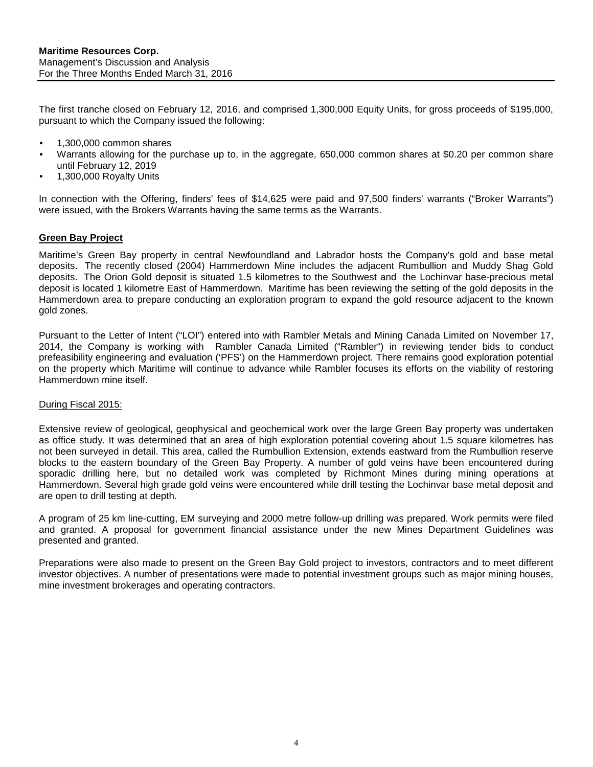The first tranche closed on February 12, 2016, and comprised 1,300,000 Equity Units, for gross proceeds of \$195,000, pursuant to which the Company issued the following:

- 1,300,000 common shares
- Warrants allowing for the purchase up to, in the aggregate, 650,000 common shares at \$0.20 per common share until February 12, 2019
- 1,300,000 Royalty Units

In connection with the Offering, finders' fees of \$14,625 were paid and 97,500 finders' warrants ("Broker Warrants") were issued, with the Brokers Warrants having the same terms as the Warrants.

#### <span id="page-3-0"></span>**Green Bay Project**

Maritime's Green Bay property in central Newfoundland and Labrador hosts the Company's gold and base metal deposits. The recently closed (2004) Hammerdown Mine includes the adjacent Rumbullion and Muddy Shag Gold deposits. The Orion Gold deposit is situated 1.5 kilometres to the Southwest and the Lochinvar base-precious metal deposit is located 1 kilometre East of Hammerdown. Maritime has been reviewing the setting of the gold deposits in the Hammerdown area to prepare conducting an exploration program to expand the gold resource adjacent to the known gold zones.

Pursuant to the Letter of Intent ("LOI") entered into with Rambler Metals and Mining Canada Limited on November 17, 2014, the Company is working with Rambler Canada Limited ("Rambler") in reviewing tender bids to conduct prefeasibility engineering and evaluation ('PFS') on the Hammerdown project. There remains good exploration potential on the property which Maritime will continue to advance while Rambler focuses its efforts on the viability of restoring Hammerdown mine itself.

#### During Fiscal 2015:

Extensive review of geological, geophysical and geochemical work over the large Green Bay property was undertaken as office study. It was determined that an area of high exploration potential covering about 1.5 square kilometres has not been surveyed in detail. This area, called the Rumbullion Extension, extends eastward from the Rumbullion reserve blocks to the eastern boundary of the Green Bay Property. A number of gold veins have been encountered during sporadic drilling here, but no detailed work was completed by Richmont Mines during mining operations at Hammerdown. Several high grade gold veins were encountered while drill testing the Lochinvar base metal deposit and are open to drill testing at depth.

A program of 25 km line-cutting, EM surveying and 2000 metre follow-up drilling was prepared. Work permits were filed and granted. A proposal for government financial assistance under the new Mines Department Guidelines was presented and granted.

Preparations were also made to present on the Green Bay Gold project to investors, contractors and to meet different investor objectives. A number of presentations were made to potential investment groups such as major mining houses, mine investment brokerages and operating contractors.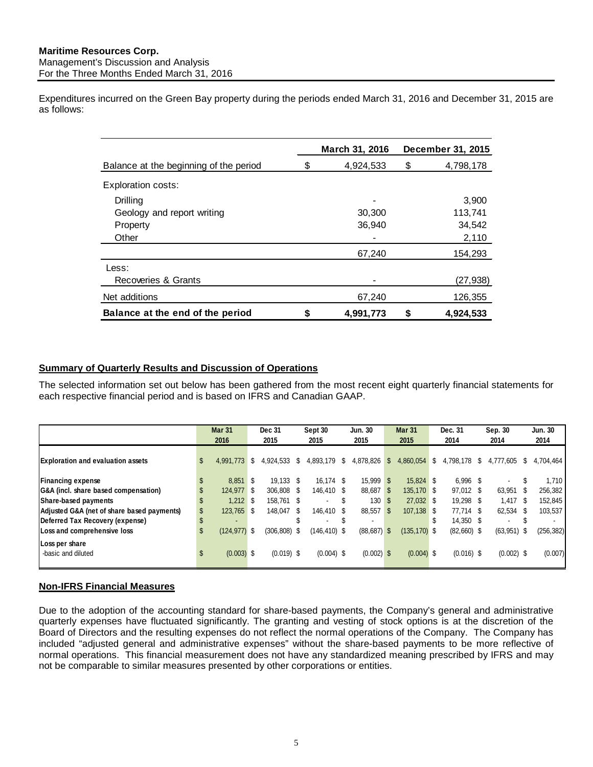Expenditures incurred on the Green Bay property during the periods ended March 31, 2016 and December 31, 2015 are as follows:

|                                        |    | March 31, 2016 | December 31, 2015 |
|----------------------------------------|----|----------------|-------------------|
| Balance at the beginning of the period | S  | 4,924,533      | \$<br>4,798,178   |
| <b>Exploration costs:</b>              |    |                |                   |
| Drilling                               |    | -              | 3,900             |
| Geology and report writing             |    | 30,300         | 113.741           |
| Property                               |    | 36,940         | 34,542            |
| Other                                  |    |                | 2,110             |
|                                        |    | 67,240         | 154,293           |
| Less:                                  |    |                |                   |
| Recoveries & Grants                    |    |                | (27, 938)         |
| Net additions                          |    | 67,240         | 126,355           |
| Balance at the end of the period       | \$ | 4,991,773      | \$<br>4,924,533   |

## <span id="page-4-0"></span>**Summary of Quarterly Results and Discussion of Operations**

The selected information set out below has been gathered from the most recent eight quarterly financial statements for each respective financial period and is based on IFRS and Canadian GAAP.

|                                            |    | <b>Mar 31</b><br>2016 | Dec 31<br>2015  | Sept 30<br>2015 |    | <b>Jun. 30</b><br>2015 |     | <b>Mar 31</b><br>2015 | Dec. 31<br>2014 |   | Sep. 30<br>2014 |     | <b>Jun. 30</b><br>2014 |
|--------------------------------------------|----|-----------------------|-----------------|-----------------|----|------------------------|-----|-----------------------|-----------------|---|-----------------|-----|------------------------|
|                                            |    |                       |                 |                 |    |                        |     |                       |                 |   |                 |     |                        |
| <b>Exploration and evaluation assets</b>   | \$ | 4,991,773 \$          | 4,924,533 \$    | 4,893,179       | S. | 4,878,826              | \$  | 4,860,054 \$          | 4,798,178       | S | 4.777.605 \$    |     | 4.704.464              |
|                                            |    |                       |                 |                 |    |                        |     |                       |                 |   |                 |     |                        |
| <b>Financing expense</b>                   | S  | 8,851 \$              | 19.133 \$       | 16.174 \$       |    | 15,999 \$              |     | 15.824 \$             | $6,996$ \$      |   | ۰.              | S   | 1,710                  |
| G&A (incl. share based compensation)       |    | 124.977 \$            | 306.808 \$      | 146.410 \$      |    | 88.687 \$              |     | 135.170 \$            | 97.012 \$       |   | 63,951          | \$. | 256,382                |
| Share-based payments                       |    | $1.212$ \$            | 158.761 \$      | ۰.              | S  | 130                    | - S | 27.032 \$             | 19,298 \$       |   | $1.417$ \$      |     | 152.845                |
| Adjusted G&A (net of share based payments) | S  | 123,765 \$            | 148.047 \$      | 146,410 \$      |    | 88,557                 | -S  | 107.138 \$            | 77.714 \$       |   | 62,534 \$       |     | 103,537                |
| Deferred Tax Recovery (expense)            |    |                       |                 |                 | \$ |                        |     |                       | 14.350 \$       |   | ۰               |     |                        |
| Loss and comprehensive loss                | S  | $(124.977)$ \$        | $(306, 808)$ \$ | $(146, 410)$ \$ |    | $(88, 687)$ \$         |     | $(135, 170)$ \$       | $(82,660)$ \$   |   | $(63,951)$ \$   |     | (256, 382)             |
| Loss per share                             |    |                       |                 |                 |    |                        |     |                       |                 |   |                 |     |                        |
| -basic and diluted                         | \$ | $(0.003)$ \$          | $(0.019)$ \$    | $(0.004)$ \$    |    | $(0.002)$ \$           |     | $(0.004)$ \$          | $(0.016)$ \$    |   | $(0.002)$ \$    |     | (0.007)                |
|                                            |    |                       |                 |                 |    |                        |     |                       |                 |   |                 |     |                        |

## **Non-IFRS Financial Measures**

Due to the adoption of the accounting standard for share-based payments, the Company's general and administrative quarterly expenses have fluctuated significantly. The granting and vesting of stock options is at the discretion of the Board of Directors and the resulting expenses do not reflect the normal operations of the Company. The Company has included "adjusted general and administrative expenses" without the share-based payments to be more reflective of normal operations. This financial measurement does not have any standardized meaning prescribed by IFRS and may not be comparable to similar measures presented by other corporations or entities.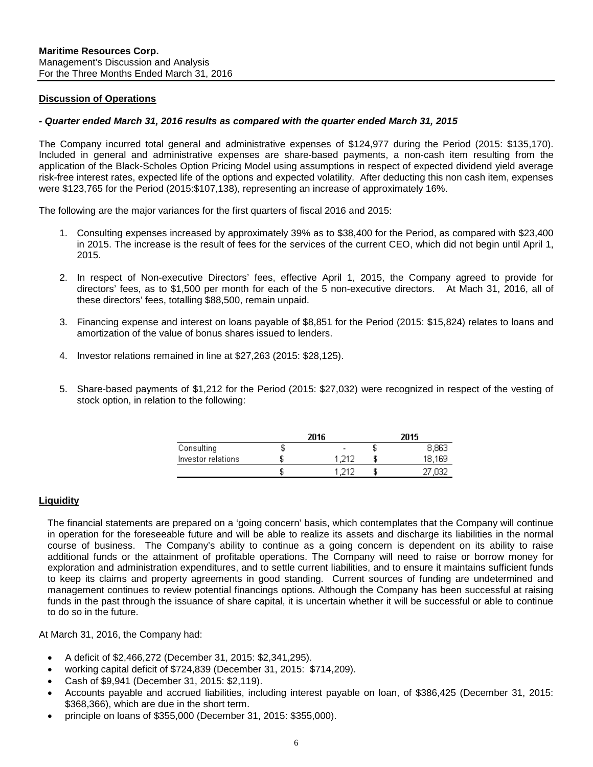#### **Discussion of Operations**

#### *- Quarter ended March 31, 2016 results as compared with the quarter ended March 31, 2015*

The Company incurred total general and administrative expenses of \$124,977 during the Period (2015: \$135,170). Included in general and administrative expenses are share-based payments, a non-cash item resulting from the application of the Black-Scholes Option Pricing Model using assumptions in respect of expected dividend yield average risk-free interest rates, expected life of the options and expected volatility. After deducting this non cash item, expenses were \$123,765 for the Period (2015:\$107,138), representing an increase of approximately 16%.

The following are the major variances for the first quarters of fiscal 2016 and 2015:

- 1. Consulting expenses increased by approximately 39% as to \$38,400 for the Period, as compared with \$23,400 in 2015. The increase is the result of fees for the services of the current CEO, which did not begin until April 1, 2015.
- 2. In respect of Non-executive Directors' fees, effective April 1, 2015, the Company agreed to provide for directors' fees, as to \$1,500 per month for each of the 5 non-executive directors. At Mach 31, 2016, all of these directors' fees, totalling \$88,500, remain unpaid.
- 3. Financing expense and interest on loans payable of \$8,851 for the Period (2015: \$15,824) relates to loans and amortization of the value of bonus shares issued to lenders.
- 4. Investor relations remained in line at \$27,263 (2015: \$28,125).
- 5. Share-based payments of \$1,212 for the Period (2015: \$27,032) were recognized in respect of the vesting of stock option, in relation to the following:

|                    |   | 2016  | 2015   |
|--------------------|---|-------|--------|
| Consulting         |   |       | 8,863  |
| Investor relations |   | - 712 | 18,169 |
|                    | a | าง⊂   | nso    |

## <span id="page-5-0"></span>**Liquidity**

The financial statements are prepared on a 'going concern' basis, which contemplates that the Company will continue in operation for the foreseeable future and will be able to realize its assets and discharge its liabilities in the normal course of business. The Company's ability to continue as a going concern is dependent on its ability to raise additional funds or the attainment of profitable operations. The Company will need to raise or borrow money for exploration and administration expenditures, and to settle current liabilities, and to ensure it maintains sufficient funds to keep its claims and property agreements in good standing. Current sources of funding are undetermined and management continues to review potential financings options. Although the Company has been successful at raising funds in the past through the issuance of share capital, it is uncertain whether it will be successful or able to continue to do so in the future.

At March 31, 2016, the Company had:

- A deficit of \$2,466,272 (December 31, 2015: \$2,341,295).
- working capital deficit of \$724,839 (December 31, 2015: \$714,209).
- Cash of \$9,941 (December 31, 2015: \$2,119).
- Accounts payable and accrued liabilities, including interest payable on loan, of \$386,425 (December 31, 2015: \$368,366), which are due in the short term.
- principle on loans of \$355,000 (December 31, 2015: \$355,000).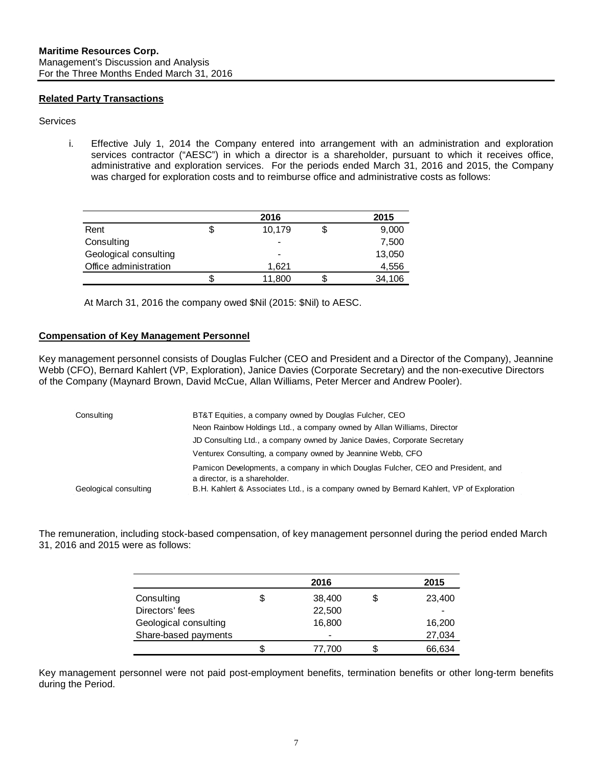#### <span id="page-6-0"></span>**Related Party Transactions**

#### Services

i. Effective July 1, 2014 the Company entered into arrangement with an administration and exploration services contractor ("AESC") in which a director is a shareholder, pursuant to which it receives office, administrative and exploration services. For the periods ended March 31, 2016 and 2015, the Company was charged for exploration costs and to reimburse office and administrative costs as follows:

|                       | 2016                     | 2015   |
|-----------------------|--------------------------|--------|
| Rent                  | 10,179                   | 9,000  |
| Consulting            |                          | 7,500  |
| Geological consulting | $\overline{\phantom{0}}$ | 13,050 |
| Office administration | 1.621                    | 4,556  |
|                       | 11,800                   | 34,106 |

At March 31, 2016 the company owed \$Nil (2015: \$Nil) to AESC.

## <span id="page-6-1"></span>**Compensation of Key Management Personnel**

Key management personnel consists of Douglas Fulcher (CEO and President and a Director of the Company), Jeannine Webb (CFO), Bernard Kahlert (VP, Exploration), Janice Davies (Corporate Secretary) and the non-executive Directors of the Company (Maynard Brown, David McCue, Allan Williams, Peter Mercer and Andrew Pooler).

| Consulting            | BT&T Equities, a company owned by Douglas Fulcher, CEO                                                            |
|-----------------------|-------------------------------------------------------------------------------------------------------------------|
|                       | Neon Rainbow Holdings Ltd., a company owned by Allan Williams, Director                                           |
|                       | JD Consulting Ltd., a company owned by Janice Davies, Corporate Secretary                                         |
|                       | Venturex Consulting, a company owned by Jeannine Webb, CFO                                                        |
|                       | Pamicon Developments, a company in which Douglas Fulcher, CEO and President, and<br>a director, is a shareholder. |
| Geological consulting | B.H. Kahlert & Associates Ltd., is a company owned by Bernard Kahlert, VP of Exploration                          |

The remuneration, including stock-based compensation, of key management personnel during the period ended March 31, 2016 and 2015 were as follows:

|                       | 2016                     | 2015   |
|-----------------------|--------------------------|--------|
| Consulting            | 38,400                   | 23,400 |
| Directors' fees       | 22,500                   |        |
| Geological consulting | 16,800                   | 16,200 |
| Share-based payments  | $\overline{\phantom{0}}$ | 27,034 |
|                       | 77,700                   | 66,634 |

Key management personnel were not paid post-employment benefits, termination benefits or other long-term benefits during the Period.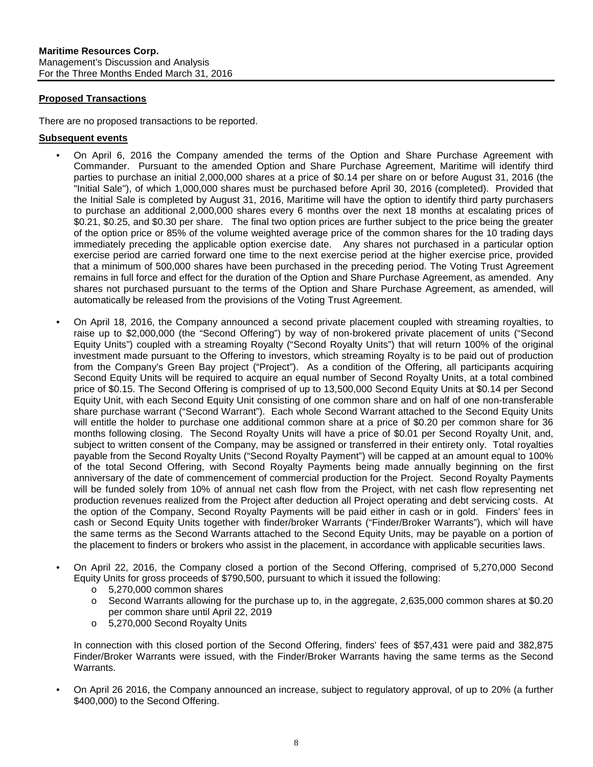#### <span id="page-7-0"></span>**Proposed Transactions**

There are no proposed transactions to be reported.

#### <span id="page-7-1"></span>**Subsequent events**

- On April 6, 2016 the Company amended the terms of the Option and Share Purchase Agreement with Commander. Pursuant to the amended Option and Share Purchase Agreement, Maritime will identify third parties to purchase an initial 2,000,000 shares at a price of \$0.14 per share on or before August 31, 2016 (the "Initial Sale"), of which 1,000,000 shares must be purchased before April 30, 2016 (completed). Provided that the Initial Sale is completed by August 31, 2016, Maritime will have the option to identify third party purchasers to purchase an additional 2,000,000 shares every 6 months over the next 18 months at escalating prices of \$0.21, \$0.25, and \$0.30 per share. The final two option prices are further subject to the price being the greater of the option price or 85% of the volume weighted average price of the common shares for the 10 trading days immediately preceding the applicable option exercise date. Any shares not purchased in a particular option exercise period are carried forward one time to the next exercise period at the higher exercise price, provided that a minimum of 500,000 shares have been purchased in the preceding period. The Voting Trust Agreement remains in full force and effect for the duration of the Option and Share Purchase Agreement, as amended. Any shares not purchased pursuant to the terms of the Option and Share Purchase Agreement, as amended, will automatically be released from the provisions of the Voting Trust Agreement.
- On April 18, 2016, the Company announced a second private placement coupled with streaming royalties, to raise up to \$2,000,000 (the "Second Offering") by way of non-brokered private placement of units ("Second Equity Units") coupled with a streaming Royalty ("Second Royalty Units") that will return 100% of the original investment made pursuant to the Offering to investors, which streaming Royalty is to be paid out of production from the Company's Green Bay project ("Project"). As a condition of the Offering, all participants acquiring Second Equity Units will be required to acquire an equal number of Second Royalty Units, at a total combined price of \$0.15. The Second Offering is comprised of up to 13,500,000 Second Equity Units at \$0.14 per Second Equity Unit, with each Second Equity Unit consisting of one common share and on half of one non-transferable share purchase warrant ("Second Warrant"). Each whole Second Warrant attached to the Second Equity Units will entitle the holder to purchase one additional common share at a price of \$0.20 per common share for 36 months following closing. The Second Royalty Units will have a price of \$0.01 per Second Royalty Unit, and, subject to written consent of the Company, may be assigned or transferred in their entirety only. Total royalties payable from the Second Royalty Units ("Second Royalty Payment") will be capped at an amount equal to 100% of the total Second Offering, with Second Royalty Payments being made annually beginning on the first anniversary of the date of commencement of commercial production for the Project. Second Royalty Payments will be funded solely from 10% of annual net cash flow from the Project, with net cash flow representing net production revenues realized from the Project after deduction all Project operating and debt servicing costs. At the option of the Company, Second Royalty Payments will be paid either in cash or in gold. Finders' fees in cash or Second Equity Units together with finder/broker Warrants ("Finder/Broker Warrants"), which will have the same terms as the Second Warrants attached to the Second Equity Units, may be payable on a portion of the placement to finders or brokers who assist in the placement, in accordance with applicable securities laws.
- On April 22, 2016, the Company closed a portion of the Second Offering, comprised of 5,270,000 Second Equity Units for gross proceeds of \$790,500, pursuant to which it issued the following:
	- o 5,270,000 common shares
	- o Second Warrants allowing for the purchase up to, in the aggregate, 2,635,000 common shares at \$0.20 per common share until April 22, 2019
	- o 5,270,000 Second Royalty Units

In connection with this closed portion of the Second Offering, finders' fees of \$57,431 were paid and 382,875 Finder/Broker Warrants were issued, with the Finder/Broker Warrants having the same terms as the Second Warrants.

• On April 26 2016, the Company announced an increase, subject to regulatory approval, of up to 20% (a further \$400,000) to the Second Offering.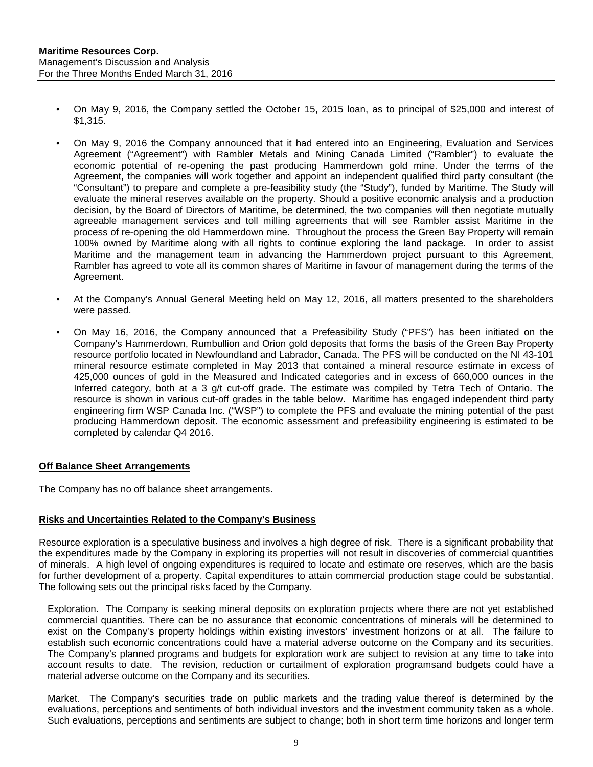- On May 9, 2016, the Company settled the October 15, 2015 loan, as to principal of \$25,000 and interest of \$1,315.
- On May 9, 2016 the Company announced that it had entered into an Engineering, Evaluation and Services Agreement ("Agreement") with Rambler Metals and Mining Canada Limited ("Rambler") to evaluate the economic potential of re-opening the past producing Hammerdown gold mine. Under the terms of the Agreement, the companies will work together and appoint an independent qualified third party consultant (the "Consultant") to prepare and complete a pre-feasibility study (the "Study"), funded by Maritime. The Study will evaluate the mineral reserves available on the property. Should a positive economic analysis and a production decision, by the Board of Directors of Maritime, be determined, the two companies will then negotiate mutually agreeable management services and toll milling agreements that will see Rambler assist Maritime in the process of re-opening the old Hammerdown mine. Throughout the process the Green Bay Property will remain 100% owned by Maritime along with all rights to continue exploring the land package. In order to assist Maritime and the management team in advancing the Hammerdown project pursuant to this Agreement, Rambler has agreed to vote all its common shares of Maritime in favour of management during the terms of the Agreement.
- At the Company's Annual General Meeting held on May 12, 2016, all matters presented to the shareholders were passed.
- On May 16, 2016, the Company announced that a Prefeasibility Study ("PFS") has been initiated on the Company's Hammerdown, Rumbullion and Orion gold deposits that forms the basis of the Green Bay Property resource portfolio located in Newfoundland and Labrador, Canada. The PFS will be conducted on the NI 43-101 mineral resource estimate completed in May 2013 that contained a mineral resource estimate in excess of 425,000 ounces of gold in the Measured and Indicated categories and in excess of 660,000 ounces in the Inferred category, both at a 3 g/t cut-off grade. The estimate was compiled by Tetra Tech of Ontario. The resource is shown in various cut-off grades in the table below. Maritime has engaged independent third party engineering firm WSP Canada Inc. ("WSP") to complete the PFS and evaluate the mining potential of the past producing Hammerdown deposit. The economic assessment and prefeasibility engineering is estimated to be completed by calendar Q4 2016.

## <span id="page-8-0"></span>**Off Balance Sheet Arrangements**

The Company has no off balance sheet arrangements.

#### <span id="page-8-1"></span>**Risks and Uncertainties Related to the Company's Business**

Resource exploration is a speculative business and involves a high degree of risk. There is a significant probability that the expenditures made by the Company in exploring its properties will not result in discoveries of commercial quantities of minerals. A high level of ongoing expenditures is required to locate and estimate ore reserves, which are the basis for further development of a property. Capital expenditures to attain commercial production stage could be substantial. The following sets out the principal risks faced by the Company.

Exploration. The Company is seeking mineral deposits on exploration projects where there are not yet established commercial quantities. There can be no assurance that economic concentrations of minerals will be determined to exist on the Company's property holdings within existing investors' investment horizons or at all. The failure to establish such economic concentrations could have a material adverse outcome on the Company and its securities. The Company's planned programs and budgets for exploration work are subject to revision at any time to take into account results to date. The revision, reduction or curtailment of exploration programsand budgets could have a material adverse outcome on the Company and its securities.

Market. The Company's securities trade on public markets and the trading value thereof is determined by the evaluations, perceptions and sentiments of both individual investors and the investment community taken as a whole. Such evaluations, perceptions and sentiments are subject to change; both in short term time horizons and longer term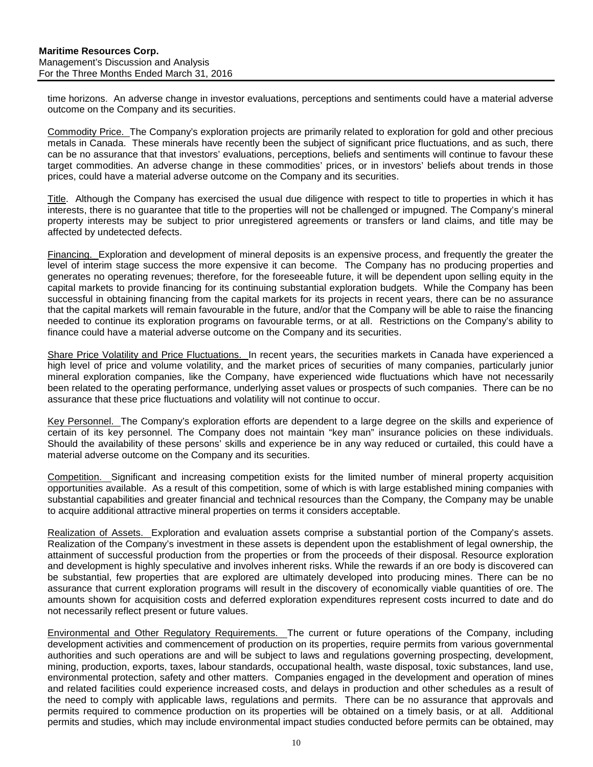time horizons. An adverse change in investor evaluations, perceptions and sentiments could have a material adverse outcome on the Company and its securities.

Commodity Price. The Company's exploration projects are primarily related to exploration for gold and other precious metals in Canada. These minerals have recently been the subject of significant price fluctuations, and as such, there can be no assurance that that investors' evaluations, perceptions, beliefs and sentiments will continue to favour these target commodities. An adverse change in these commodities' prices, or in investors' beliefs about trends in those prices, could have a material adverse outcome on the Company and its securities.

Title. Although the Company has exercised the usual due diligence with respect to title to properties in which it has interests, there is no guarantee that title to the properties will not be challenged or impugned. The Company's mineral property interests may be subject to prior unregistered agreements or transfers or land claims, and title may be affected by undetected defects.

Financing. Exploration and development of mineral deposits is an expensive process, and frequently the greater the level of interim stage success the more expensive it can become. The Company has no producing properties and generates no operating revenues; therefore, for the foreseeable future, it will be dependent upon selling equity in the capital markets to provide financing for its continuing substantial exploration budgets. While the Company has been successful in obtaining financing from the capital markets for its projects in recent years, there can be no assurance that the capital markets will remain favourable in the future, and/or that the Company will be able to raise the financing needed to continue its exploration programs on favourable terms, or at all. Restrictions on the Company's ability to finance could have a material adverse outcome on the Company and its securities.

Share Price Volatility and Price Fluctuations. In recent years, the securities markets in Canada have experienced a high level of price and volume volatility, and the market prices of securities of many companies, particularly junior mineral exploration companies, like the Company, have experienced wide fluctuations which have not necessarily been related to the operating performance, underlying asset values or prospects of such companies. There can be no assurance that these price fluctuations and volatility will not continue to occur.

Key Personnel. The Company's exploration efforts are dependent to a large degree on the skills and experience of certain of its key personnel. The Company does not maintain "key man" insurance policies on these individuals. Should the availability of these persons' skills and experience be in any way reduced or curtailed, this could have a material adverse outcome on the Company and its securities.

Competition. Significant and increasing competition exists for the limited number of mineral property acquisition opportunities available. As a result of this competition, some of which is with large established mining companies with substantial capabilities and greater financial and technical resources than the Company, the Company may be unable to acquire additional attractive mineral properties on terms it considers acceptable.

Realization of Assets. Exploration and evaluation assets comprise a substantial portion of the Company's assets. Realization of the Company's investment in these assets is dependent upon the establishment of legal ownership, the attainment of successful production from the properties or from the proceeds of their disposal. Resource exploration and development is highly speculative and involves inherent risks. While the rewards if an ore body is discovered can be substantial, few properties that are explored are ultimately developed into producing mines. There can be no assurance that current exploration programs will result in the discovery of economically viable quantities of ore. The amounts shown for acquisition costs and deferred exploration expenditures represent costs incurred to date and do not necessarily reflect present or future values.

Environmental and Other Regulatory Requirements. The current or future operations of the Company, including development activities and commencement of production on its properties, require permits from various governmental authorities and such operations are and will be subject to laws and regulations governing prospecting, development, mining, production, exports, taxes, labour standards, occupational health, waste disposal, toxic substances, land use, environmental protection, safety and other matters. Companies engaged in the development and operation of mines and related facilities could experience increased costs, and delays in production and other schedules as a result of the need to comply with applicable laws, regulations and permits. There can be no assurance that approvals and permits required to commence production on its properties will be obtained on a timely basis, or at all. Additional permits and studies, which may include environmental impact studies conducted before permits can be obtained, may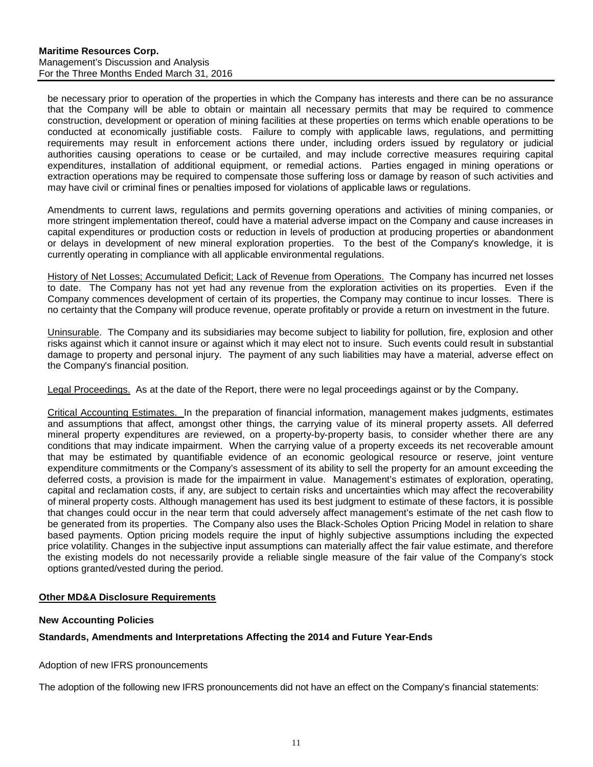be necessary prior to operation of the properties in which the Company has interests and there can be no assurance that the Company will be able to obtain or maintain all necessary permits that may be required to commence construction, development or operation of mining facilities at these properties on terms which enable operations to be conducted at economically justifiable costs. Failure to comply with applicable laws, regulations, and permitting requirements may result in enforcement actions there under, including orders issued by regulatory or judicial authorities causing operations to cease or be curtailed, and may include corrective measures requiring capital expenditures, installation of additional equipment, or remedial actions. Parties engaged in mining operations or extraction operations may be required to compensate those suffering loss or damage by reason of such activities and may have civil or criminal fines or penalties imposed for violations of applicable laws or regulations.

Amendments to current laws, regulations and permits governing operations and activities of mining companies, or more stringent implementation thereof, could have a material adverse impact on the Company and cause increases in capital expenditures or production costs or reduction in levels of production at producing properties or abandonment or delays in development of new mineral exploration properties. To the best of the Company's knowledge, it is currently operating in compliance with all applicable environmental regulations.

History of Net Losses; Accumulated Deficit; Lack of Revenue from Operations. The Company has incurred net losses to date. The Company has not yet had any revenue from the exploration activities on its properties. Even if the Company commences development of certain of its properties, the Company may continue to incur losses. There is no certainty that the Company will produce revenue, operate profitably or provide a return on investment in the future.

Uninsurable. The Company and its subsidiaries may become subject to liability for pollution, fire, explosion and other risks against which it cannot insure or against which it may elect not to insure. Such events could result in substantial damage to property and personal injury. The payment of any such liabilities may have a material, adverse effect on the Company's financial position.

Legal Proceedings. As at the date of the Report, there were no legal proceedings against or by the Company.

Critical Accounting Estimates. In the preparation of financial information, management makes judgments, estimates and assumptions that affect, amongst other things, the carrying value of its mineral property assets. All deferred mineral property expenditures are reviewed, on a property-by-property basis, to consider whether there are any conditions that may indicate impairment. When the carrying value of a property exceeds its net recoverable amount that may be estimated by quantifiable evidence of an economic geological resource or reserve, joint venture expenditure commitments or the Company's assessment of its ability to sell the property for an amount exceeding the deferred costs, a provision is made for the impairment in value. Management's estimates of exploration, operating, capital and reclamation costs, if any, are subject to certain risks and uncertainties which may affect the recoverability of mineral property costs. Although management has used its best judgment to estimate of these factors, it is possible that changes could occur in the near term that could adversely affect management's estimate of the net cash flow to be generated from its properties. The Company also uses the Black-Scholes Option Pricing Model in relation to share based payments. Option pricing models require the input of highly subjective assumptions including the expected price volatility. Changes in the subjective input assumptions can materially affect the fair value estimate, and therefore the existing models do not necessarily provide a reliable single measure of the fair value of the Company's stock options granted/vested during the period.

#### <span id="page-10-0"></span>**Other MD&A Disclosure Requirements**

#### **New Accounting Policies**

#### **Standards, Amendments and Interpretations Affecting the 2014 and Future Year-Ends**

Adoption of new IFRS pronouncements

The adoption of the following new IFRS pronouncements did not have an effect on the Company's financial statements: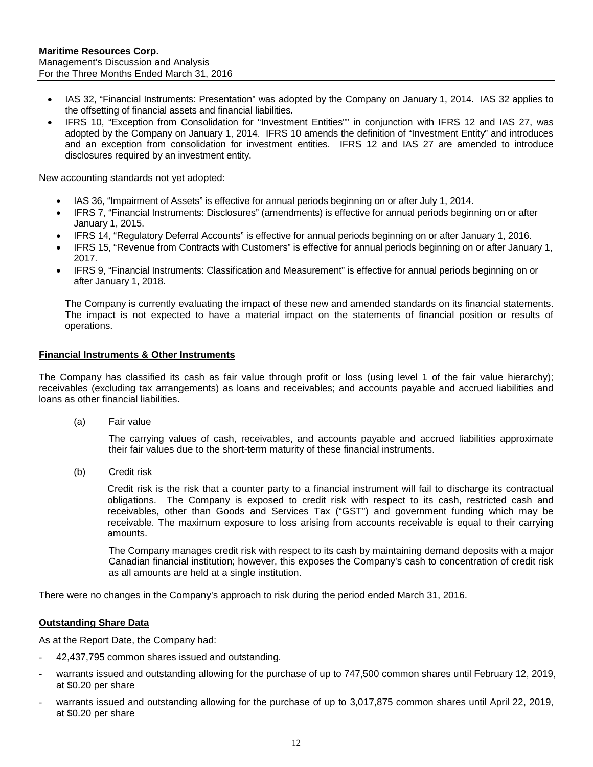- IAS 32, "Financial Instruments: Presentation" was adopted by the Company on January 1, 2014. IAS 32 applies to the offsetting of financial assets and financial liabilities.
- IFRS 10, "Exception from Consolidation for "Investment Entities"" in conjunction with IFRS 12 and IAS 27, was adopted by the Company on January 1, 2014. IFRS 10 amends the definition of "Investment Entity" and introduces and an exception from consolidation for investment entities. IFRS 12 and IAS 27 are amended to introduce disclosures required by an investment entity.

New accounting standards not yet adopted:

- IAS 36, "Impairment of Assets" is effective for annual periods beginning on or after July 1, 2014.
- IFRS 7, "Financial Instruments: Disclosures" (amendments) is effective for annual periods beginning on or after January 1, 2015.
- IFRS 14, "Regulatory Deferral Accounts" is effective for annual periods beginning on or after January 1, 2016.
- IFRS 15, "Revenue from Contracts with Customers" is effective for annual periods beginning on or after January 1, 2017.
- IFRS 9, "Financial Instruments: Classification and Measurement" is effective for annual periods beginning on or after January 1, 2018.

The Company is currently evaluating the impact of these new and amended standards on its financial statements. The impact is not expected to have a material impact on the statements of financial position or results of operations.

#### **Financial Instruments & Other Instruments**

The Company has classified its cash as fair value through profit or loss (using level 1 of the fair value hierarchy); receivables (excluding tax arrangements) as loans and receivables; and accounts payable and accrued liabilities and loans as other financial liabilities.

(a) Fair value

The carrying values of cash, receivables, and accounts payable and accrued liabilities approximate their fair values due to the short-term maturity of these financial instruments.

(b) Credit risk

Credit risk is the risk that a counter party to a financial instrument will fail to discharge its contractual obligations. The Company is exposed to credit risk with respect to its cash, restricted cash and receivables, other than Goods and Services Tax ("GST") and government funding which may be receivable. The maximum exposure to loss arising from accounts receivable is equal to their carrying amounts.

The Company manages credit risk with respect to its cash by maintaining demand deposits with a major Canadian financial institution; however, this exposes the Company's cash to concentration of credit risk as all amounts are held at a single institution.

There were no changes in the Company's approach to risk during the period ended March 31, 2016.

## **Outstanding Share Data**

As at the Report Date, the Company had:

- 42,437,795 common shares issued and outstanding.
- warrants issued and outstanding allowing for the purchase of up to 747,500 common shares until February 12, 2019, at \$0.20 per share
- warrants issued and outstanding allowing for the purchase of up to 3,017,875 common shares until April 22, 2019, at \$0.20 per share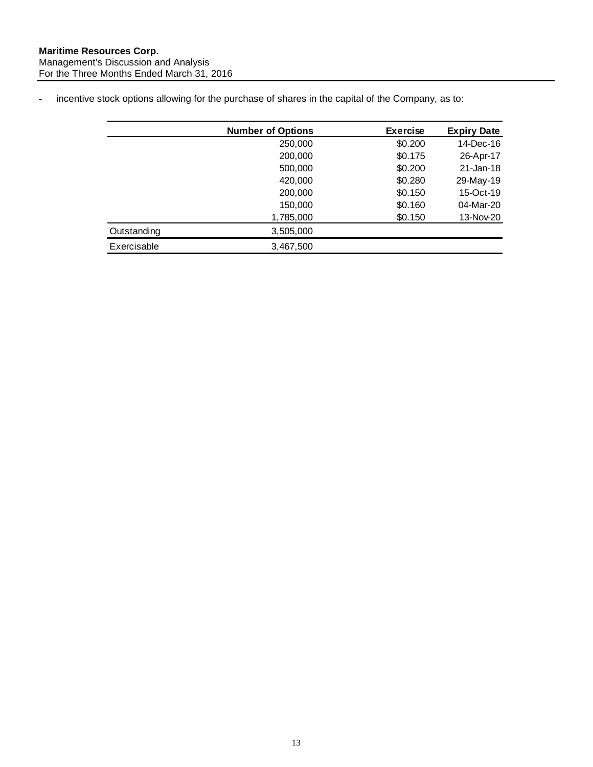|  |  | incentive stock options allowing for the purchase of shares in the capital of the Company, as to: |  |
|--|--|---------------------------------------------------------------------------------------------------|--|

|             | <b>Number of Options</b> | <b>Exercise</b> | <b>Expiry Date</b> |
|-------------|--------------------------|-----------------|--------------------|
|             | 250,000                  | \$0.200         | 14-Dec-16          |
|             | 200,000                  | \$0.175         | 26-Apr-17          |
|             | 500,000                  | \$0.200         | 21-Jan-18          |
|             | 420,000                  | \$0.280         | 29-May-19          |
|             | 200,000                  | \$0.150         | 15-Oct-19          |
|             | 150,000                  | \$0.160         | 04-Mar-20          |
|             | 1,785,000                | \$0.150         | 13-Nov-20          |
| Outstanding | 3,505,000                |                 |                    |
| Exercisable | 3,467,500                |                 |                    |